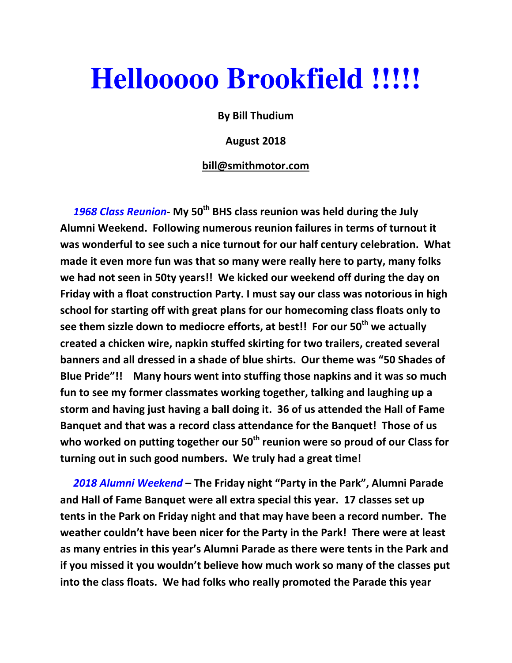## **Hellooooo Brookfield !!!!!**

By Bill Thudium

August 2018

## bill@smithmotor.com

1968 Class Reunion- My 50<sup>th</sup> BHS class reunion was held during the July Alumni Weekend. Following numerous reunion failures in terms of turnout it was wonderful to see such a nice turnout for our half century celebration. What made it even more fun was that so many were really here to party, many folks we had not seen in 50ty years!! We kicked our weekend off during the day on Friday with a float construction Party. I must say our class was notorious in high school for starting off with great plans for our homecoming class floats only to see them sizzle down to mediocre efforts, at best!! For our 50<sup>th</sup> we actually created a chicken wire, napkin stuffed skirting for two trailers, created several banners and all dressed in a shade of blue shirts. Our theme was "50 Shades of Blue Pride"!! Many hours went into stuffing those napkins and it was so much fun to see my former classmates working together, talking and laughing up a storm and having just having a ball doing it. 36 of us attended the Hall of Fame Banquet and that was a record class attendance for the Banquet! Those of us who worked on putting together our  $50<sup>th</sup>$  reunion were so proud of our Class for turning out in such good numbers. We truly had a great time!

2018 Alumni Weekend – The Friday night "Party in the Park", Alumni Parade and Hall of Fame Banquet were all extra special this year. 17 classes set up tents in the Park on Friday night and that may have been a record number. The weather couldn't have been nicer for the Party in the Park! There were at least as many entries in this year's Alumni Parade as there were tents in the Park and if you missed it you wouldn't believe how much work so many of the classes put into the class floats. We had folks who really promoted the Parade this year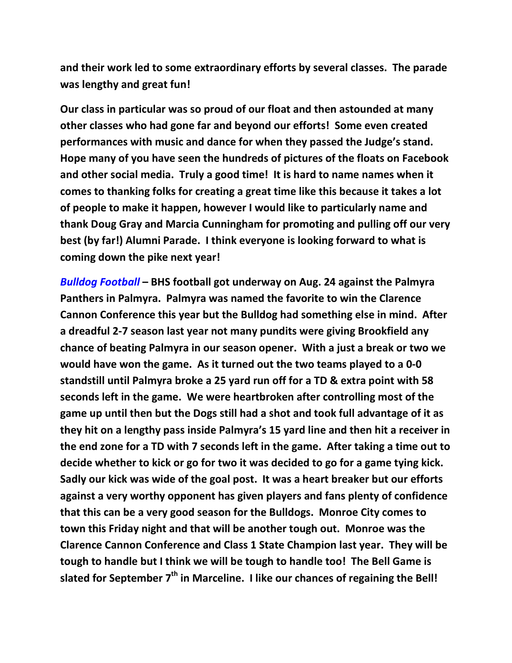and their work led to some extraordinary efforts by several classes. The parade was lengthy and great fun!

Our class in particular was so proud of our float and then astounded at many other classes who had gone far and beyond our efforts! Some even created performances with music and dance for when they passed the Judge's stand. Hope many of you have seen the hundreds of pictures of the floats on Facebook and other social media. Truly a good time! It is hard to name names when it comes to thanking folks for creating a great time like this because it takes a lot of people to make it happen, however I would like to particularly name and thank Doug Gray and Marcia Cunningham for promoting and pulling off our very best (by far!) Alumni Parade. I think everyone is looking forward to what is coming down the pike next year!

Bulldog Football – BHS football got underway on Aug. 24 against the Palmyra Panthers in Palmyra. Palmyra was named the favorite to win the Clarence Cannon Conference this year but the Bulldog had something else in mind. After a dreadful 2-7 season last year not many pundits were giving Brookfield any chance of beating Palmyra in our season opener. With a just a break or two we would have won the game. As it turned out the two teams played to a 0-0 standstill until Palmyra broke a 25 yard run off for a TD & extra point with 58 seconds left in the game. We were heartbroken after controlling most of the game up until then but the Dogs still had a shot and took full advantage of it as they hit on a lengthy pass inside Palmyra's 15 yard line and then hit a receiver in the end zone for a TD with 7 seconds left in the game. After taking a time out to decide whether to kick or go for two it was decided to go for a game tying kick. Sadly our kick was wide of the goal post. It was a heart breaker but our efforts against a very worthy opponent has given players and fans plenty of confidence that this can be a very good season for the Bulldogs. Monroe City comes to town this Friday night and that will be another tough out. Monroe was the Clarence Cannon Conference and Class 1 State Champion last year. They will be tough to handle but I think we will be tough to handle too! The Bell Game is slated for September  $7<sup>th</sup>$  in Marceline. I like our chances of regaining the Bell!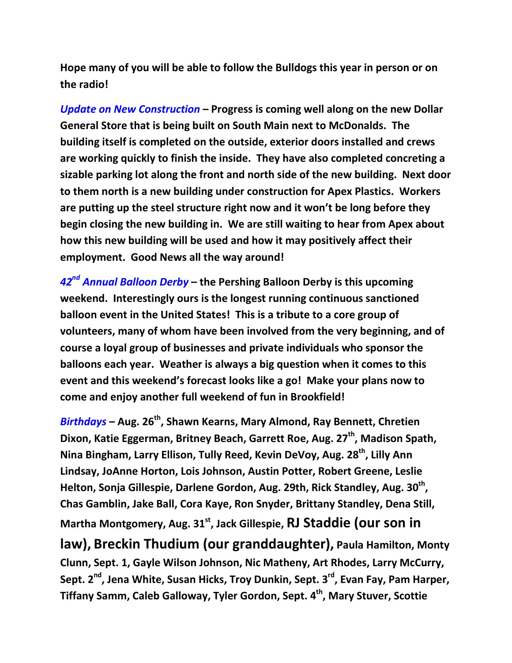Hope many of you will be able to follow the Bulldogs this year in person or on the radio!

Update on New Construction – Progress is coming well along on the new Dollar General Store that is being built on South Main next to McDonalds. The building itself is completed on the outside, exterior doors installed and crews are working quickly to finish the inside. They have also completed concreting a sizable parking lot along the front and north side of the new building. Next door to them north is a new building under construction for Apex Plastics. Workers are putting up the steel structure right now and it won't be long before they begin closing the new building in. We are still waiting to hear from Apex about how this new building will be used and how it may positively affect their employment. Good News all the way around!

 $42^{nd}$  Annual Balloon Derby – the Pershing Balloon Derby is this upcoming weekend. Interestingly ours is the longest running continuous sanctioned balloon event in the United States! This is a tribute to a core group of volunteers, many of whom have been involved from the very beginning, and of course a loyal group of businesses and private individuals who sponsor the balloons each year. Weather is always a big question when it comes to this event and this weekend's forecast looks like a go! Make your plans now to come and enjoy another full weekend of fun in Brookfield!

 $Birthdays - Aug. 26<sup>th</sup>$ , Shawn Kearns, Mary Almond, Ray Bennett, Chretien Dixon, Katie Eggerman, Britney Beach, Garrett Roe, Aug. 27<sup>th</sup>, Madison Spath, Nina Bingham, Larry Ellison, Tully Reed, Kevin DeVoy, Aug. 28<sup>th</sup>, Lilly Ann Lindsay, JoAnne Horton, Lois Johnson, Austin Potter, Robert Greene, Leslie Helton, Sonja Gillespie, Darlene Gordon, Aug. 29th, Rick Standley, Aug. 30<sup>th</sup>, Chas Gamblin, Jake Ball, Cora Kaye, Ron Snyder, Brittany Standley, Dena Still, Martha Montgomery, Aug. 31<sup>st</sup>, Jack Gillespie, RJ Staddie (our son in

law), Breckin Thudium (our granddaughter), Paula Hamilton, Monty Clunn, Sept. 1, Gayle Wilson Johnson, Nic Matheny, Art Rhodes, Larry McCurry, Sept. 2<sup>nd</sup>, Jena White, Susan Hicks, Troy Dunkin, Sept. 3<sup>rd</sup>, Evan Fay, Pam Harper, Tiffany Samm, Caleb Galloway, Tyler Gordon, Sept. 4<sup>th</sup>, Mary Stuver, Scottie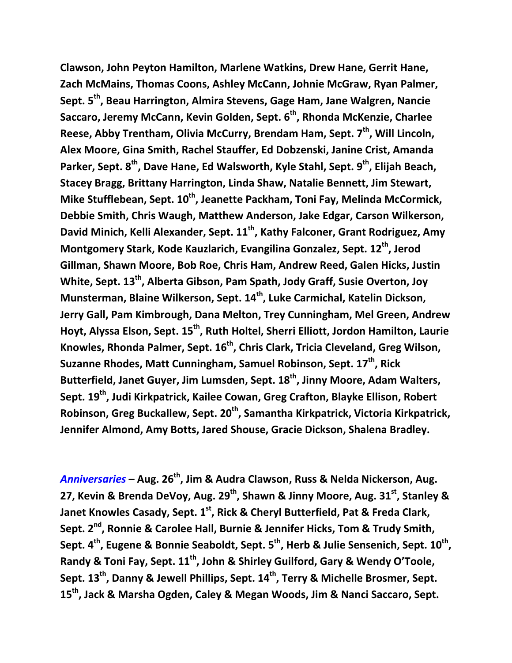Clawson, John Peyton Hamilton, Marlene Watkins, Drew Hane, Gerrit Hane, Zach McMains, Thomas Coons, Ashley McCann, Johnie McGraw, Ryan Palmer, Sept. 5<sup>th</sup>, Beau Harrington, Almira Stevens, Gage Ham, Jane Walgren, Nancie Saccaro, Jeremy McCann, Kevin Golden, Sept. 6<sup>th</sup>, Rhonda McKenzie, Charlee Reese, Abby Trentham, Olivia McCurry, Brendam Ham, Sept.  $7<sup>th</sup>$ , Will Lincoln, Alex Moore, Gina Smith, Rachel Stauffer, Ed Dobzenski, Janine Crist, Amanda Parker, Sept. 8<sup>th</sup>, Dave Hane, Ed Walsworth, Kyle Stahl, Sept. 9<sup>th</sup>, Elijah Beach, Stacey Bragg, Brittany Harrington, Linda Shaw, Natalie Bennett, Jim Stewart, Mike Stufflebean, Sept. 10<sup>th</sup>, Jeanette Packham, Toni Fay, Melinda McCormick, Debbie Smith, Chris Waugh, Matthew Anderson, Jake Edgar, Carson Wilkerson, David Minich, Kelli Alexander, Sept. 11<sup>th</sup>, Kathy Falconer, Grant Rodriguez, Amy Montgomery Stark, Kode Kauzlarich, Evangilina Gonzalez, Sept. 12<sup>th</sup>, Jerod Gillman, Shawn Moore, Bob Roe, Chris Ham, Andrew Reed, Galen Hicks, Justin White, Sept. 13<sup>th</sup>, Alberta Gibson, Pam Spath, Jody Graff, Susie Overton, Joy Munsterman, Blaine Wilkerson, Sept. 14<sup>th</sup>, Luke Carmichal, Katelin Dickson, Jerry Gall, Pam Kimbrough, Dana Melton, Trey Cunningham, Mel Green, Andrew Hoyt, Alyssa Elson, Sept. 15<sup>th</sup>, Ruth Holtel, Sherri Elliott, Jordon Hamilton, Laurie Knowles, Rhonda Palmer, Sept. 16<sup>th</sup>, Chris Clark, Tricia Cleveland, Greg Wilson, Suzanne Rhodes, Matt Cunningham, Samuel Robinson, Sept. 17<sup>th</sup>, Rick Butterfield, Janet Guyer, Jim Lumsden, Sept. 18<sup>th</sup>, Jinny Moore, Adam Walters, Sept. 19<sup>th</sup>, Judi Kirkpatrick, Kailee Cowan, Greg Crafton, Blayke Ellison, Robert Robinson, Greg Buckallew, Sept. 20<sup>th</sup>, Samantha Kirkpatrick, Victoria Kirkpatrick, Jennifer Almond, Amy Botts, Jared Shouse, Gracie Dickson, Shalena Bradley.

Anniversaries – Aug.  $26<sup>th</sup>$ , Jim & Audra Clawson, Russ & Nelda Nickerson, Aug. 27, Kevin & Brenda DeVoy, Aug.  $29^{th}$ , Shawn & Jinny Moore, Aug. 31st, Stanley & Janet Knowles Casady, Sept. 1<sup>st</sup>, Rick & Cheryl Butterfield, Pat & Freda Clark, Sept. 2<sup>nd</sup>, Ronnie & Carolee Hall, Burnie & Jennifer Hicks, Tom & Trudy Smith, Sept. 4<sup>th</sup>, Eugene & Bonnie Seaboldt, Sept. 5<sup>th</sup>, Herb & Julie Sensenich, Sept.  $10^\text{th}$ , Randy & Toni Fay, Sept. 11<sup>th</sup>, John & Shirley Guilford, Gary & Wendy O'Toole, Sept. 13<sup>th</sup>, Danny & Jewell Phillips, Sept. 14<sup>th</sup>, Terry & Michelle Brosmer, Sept. 15<sup>th</sup>, Jack & Marsha Ogden, Caley & Megan Woods, Jim & Nanci Saccaro, Sept.